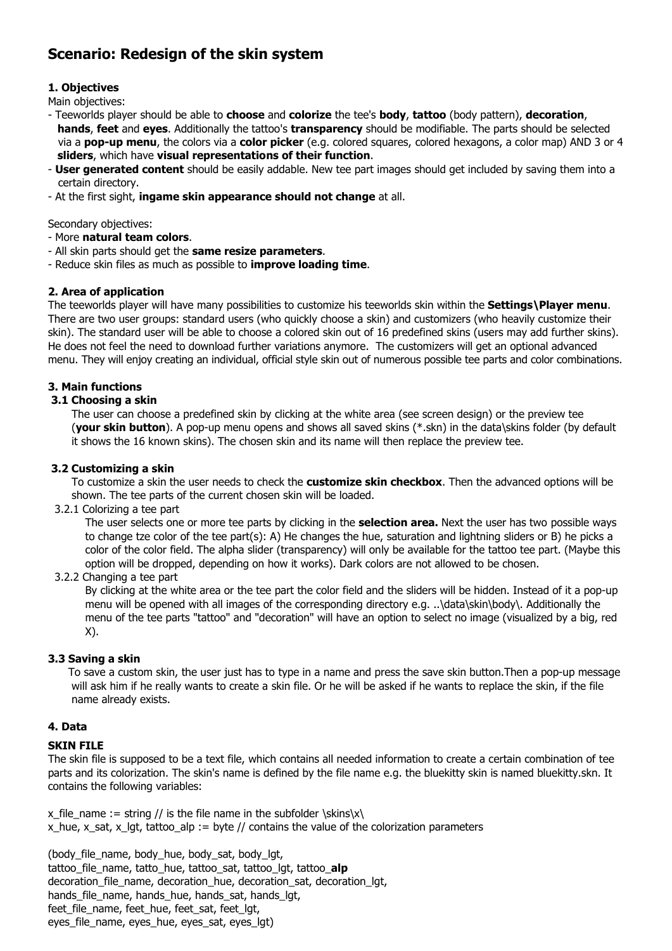# Scenario: Redesign of the skin system

## 1. Objectives

Main objectives:

- Teeworlds player should be able to choose and colorize the tee's body, tattoo (body pattern), decoration, hands, feet and eyes. Additionally the tattoo's transparency should be modifiable. The parts should be selected via a pop-up menu, the colors via a color picker (e.g. colored squares, colored hexagons, a color map) AND 3 or 4 sliders, which have visual representations of their function.
- **User generated content** should be easily addable. New tee part images should get included by saving them into a certain directory.
- At the first sight, ingame skin appearance should not change at all.

Secondary objectives:

- More natural team colors.
- All skin parts should get the same resize parameters.
- Reduce skin files as much as possible to *improve loading time*.

### 2. Area of application

The teeworlds player will have many possibilities to customize his teeworlds skin within the **Settings\Player menu.** There are two user groups: standard users (who quickly choose a skin) and customizers (who heavily customize their skin). The standard user will be able to choose a colored skin out of 16 predefined skins (users may add further skins). He does not feel the need to download further variations anymore. The customizers will get an optional advanced menu. They will enjoy creating an individual, official style skin out of numerous possible tee parts and color combinations.

### 3. Main functions

### 3.1 Choosing a skin

 The user can choose a predefined skin by clicking at the white area (see screen design) or the preview tee (your skin button). A pop-up menu opens and shows all saved skins (\*.skn) in the data\skins folder (by default it shows the 16 known skins). The chosen skin and its name will then replace the preview tee.

### 3.2 Customizing a skin

To customize a skin the user needs to check the **customize skin checkbox**. Then the advanced options will be shown. The tee parts of the current chosen skin will be loaded.

3.2.1 Colorizing a tee part

The user selects one or more tee parts by clicking in the **selection area.** Next the user has two possible ways to change tze color of the tee part(s): A) He changes the hue, saturation and lightning sliders or B) he picks a color of the color field. The alpha slider (transparency) will only be available for the tattoo tee part. (Maybe this option will be dropped, depending on how it works). Dark colors are not allowed to be chosen.

### 3.2.2 Changing a tee part

 By clicking at the white area or the tee part the color field and the sliders will be hidden. Instead of it a pop-up menu will be opened with all images of the corresponding directory e.g. ..\data\skin\body\. Additionally the menu of the tee parts "tattoo" and "decoration" will have an option to select no image (visualized by a big, red X).

### 3.3 Saving a skin

 To save a custom skin, the user just has to type in a name and press the save skin button.Then a pop-up message will ask him if he really wants to create a skin file. Or he will be asked if he wants to replace the skin, if the file name already exists.

#### 4. Data

### SKIN FILE

The skin file is supposed to be a text file, which contains all needed information to create a certain combination of tee parts and its colorization. The skin's name is defined by the file name e.g. the bluekitty skin is named bluekitty.skn. It contains the following variables:

x file name := string // is the file name in the subfolder \skins\x\ x hue, x sat, x lgt, tattoo alp := byte // contains the value of the colorization parameters

(body file name, body hue, body sat, body lgt, tattoo\_file\_name, tatto\_hue, tattoo\_sat, tattoo\_lgt, tattoo\_alp decoration\_file\_name, decoration\_hue, decoration\_sat, decoration\_lgt, hands\_file\_name, hands\_hue, hands\_sat, hands\_lgt, feet file name, feet hue, feet sat, feet lgt, eyes file name, eyes hue, eyes sat, eyes lgt)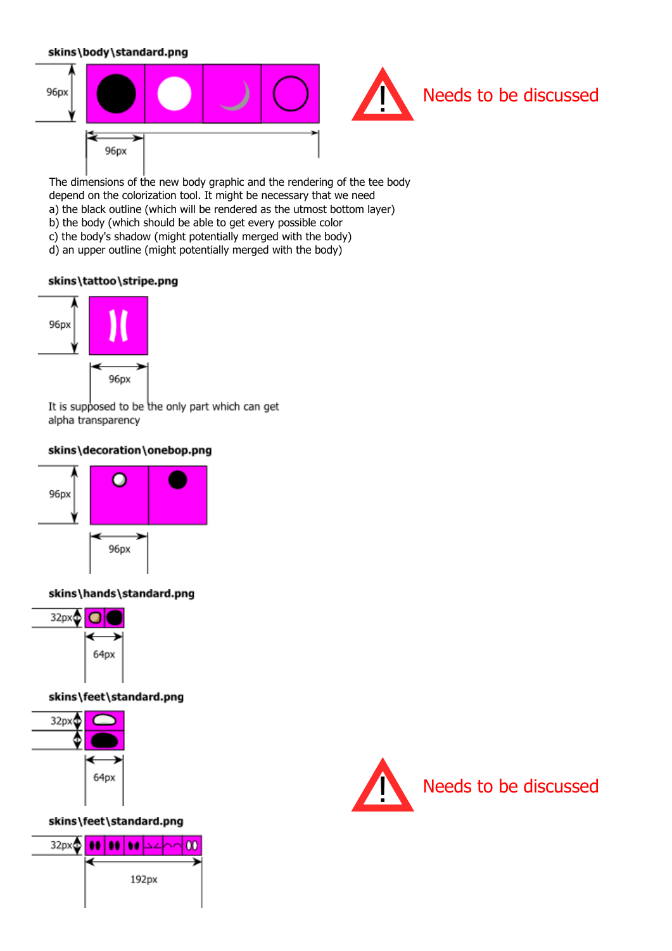### skins\body\standard.png



The dimensions of the new body graphic and the rendering of the tee body depend on the colorization tool. It might be necessary that we need a) the black outline (which will be rendered as the utmost bottom layer) b) the body (which should be able to get every possible color c) the body's shadow (might potentially merged with the body) d) an upper outline (might potentially merged with the body)

### skins\tattoo\stripe.pnq



It is supposed to be the only part which can get alpha transparency

### skins\decoration\onebop.pnq



### skins\hands\standard.png



skins\feet\standard.png



skins\feet\standard.png



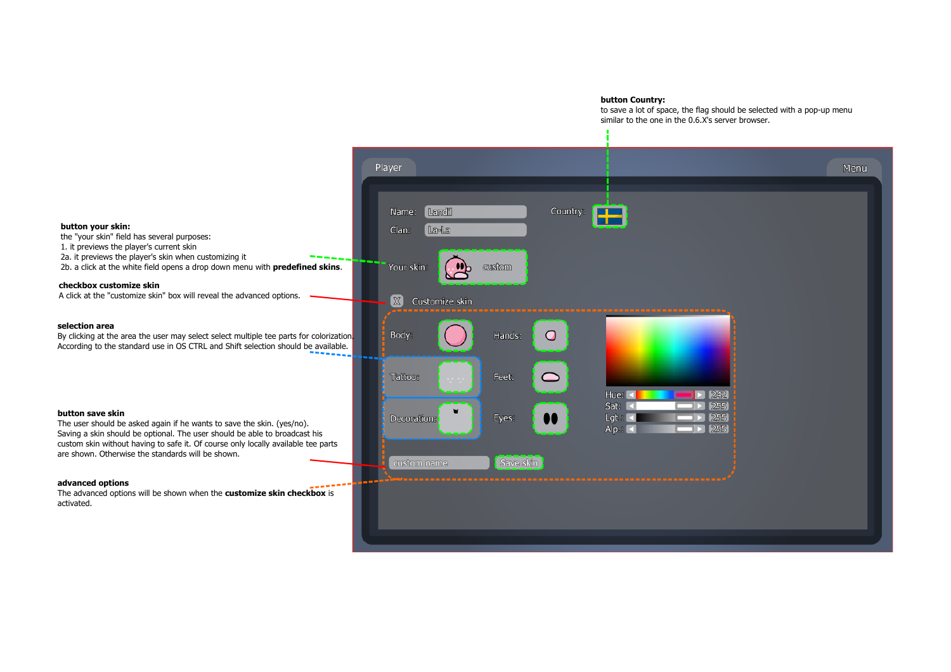#### button Country:

to save a lot of space, the flag should be selected with a pop-up menu similar to the one in the 0.6.X's server browser.